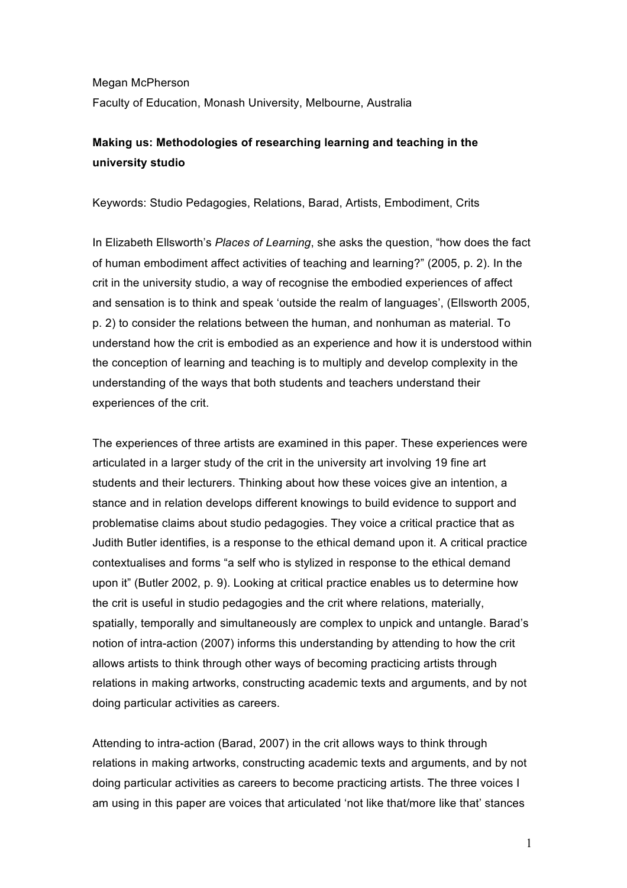Megan McPherson Faculty of Education, Monash University, Melbourne, Australia

# **Making us: Methodologies of researching learning and teaching in the university studio**

Keywords: Studio Pedagogies, Relations, Barad, Artists, Embodiment, Crits

In Elizabeth Ellsworth's *Places of Learning*, she asks the question, "how does the fact of human embodiment affect activities of teaching and learning?" (2005, p. 2). In the crit in the university studio, a way of recognise the embodied experiences of affect and sensation is to think and speak 'outside the realm of languages', (Ellsworth 2005, p. 2) to consider the relations between the human, and nonhuman as material. To understand how the crit is embodied as an experience and how it is understood within the conception of learning and teaching is to multiply and develop complexity in the understanding of the ways that both students and teachers understand their experiences of the crit.

The experiences of three artists are examined in this paper. These experiences were articulated in a larger study of the crit in the university art involving 19 fine art students and their lecturers. Thinking about how these voices give an intention, a stance and in relation develops different knowings to build evidence to support and problematise claims about studio pedagogies. They voice a critical practice that as Judith Butler identifies, is a response to the ethical demand upon it. A critical practice contextualises and forms "a self who is stylized in response to the ethical demand upon it" (Butler 2002, p. 9). Looking at critical practice enables us to determine how the crit is useful in studio pedagogies and the crit where relations, materially, spatially, temporally and simultaneously are complex to unpick and untangle. Barad's notion of intra-action (2007) informs this understanding by attending to how the crit allows artists to think through other ways of becoming practicing artists through relations in making artworks, constructing academic texts and arguments, and by not doing particular activities as careers.

Attending to intra-action (Barad, 2007) in the crit allows ways to think through relations in making artworks, constructing academic texts and arguments, and by not doing particular activities as careers to become practicing artists. The three voices I am using in this paper are voices that articulated 'not like that/more like that' stances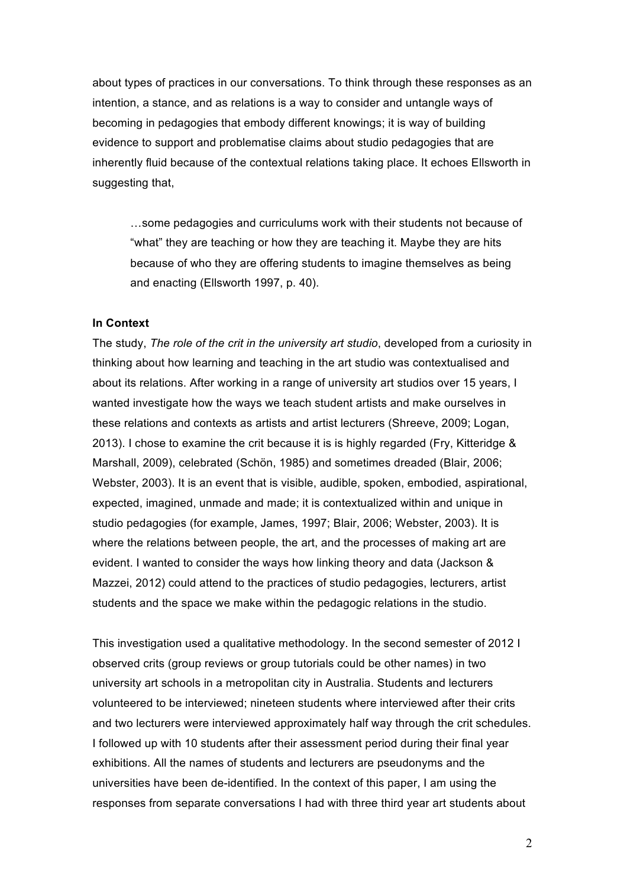about types of practices in our conversations. To think through these responses as an intention, a stance, and as relations is a way to consider and untangle ways of becoming in pedagogies that embody different knowings; it is way of building evidence to support and problematise claims about studio pedagogies that are inherently fluid because of the contextual relations taking place. It echoes Ellsworth in suggesting that,

…some pedagogies and curriculums work with their students not because of "what" they are teaching or how they are teaching it. Maybe they are hits because of who they are offering students to imagine themselves as being and enacting (Ellsworth 1997, p. 40).

# **In Context**

The study, *The role of the crit in the university art studio*, developed from a curiosity in thinking about how learning and teaching in the art studio was contextualised and about its relations. After working in a range of university art studios over 15 years, I wanted investigate how the ways we teach student artists and make ourselves in these relations and contexts as artists and artist lecturers (Shreeve, 2009; Logan, 2013). I chose to examine the crit because it is is highly regarded (Fry, Kitteridge & Marshall, 2009), celebrated (Schön, 1985) and sometimes dreaded (Blair, 2006; Webster, 2003). It is an event that is visible, audible, spoken, embodied, aspirational, expected, imagined, unmade and made; it is contextualized within and unique in studio pedagogies (for example, James, 1997; Blair, 2006; Webster, 2003). It is where the relations between people, the art, and the processes of making art are evident. I wanted to consider the ways how linking theory and data (Jackson & Mazzei, 2012) could attend to the practices of studio pedagogies, lecturers, artist students and the space we make within the pedagogic relations in the studio.

This investigation used a qualitative methodology. In the second semester of 2012 I observed crits (group reviews or group tutorials could be other names) in two university art schools in a metropolitan city in Australia. Students and lecturers volunteered to be interviewed; nineteen students where interviewed after their crits and two lecturers were interviewed approximately half way through the crit schedules. I followed up with 10 students after their assessment period during their final year exhibitions. All the names of students and lecturers are pseudonyms and the universities have been de-identified. In the context of this paper, I am using the responses from separate conversations I had with three third year art students about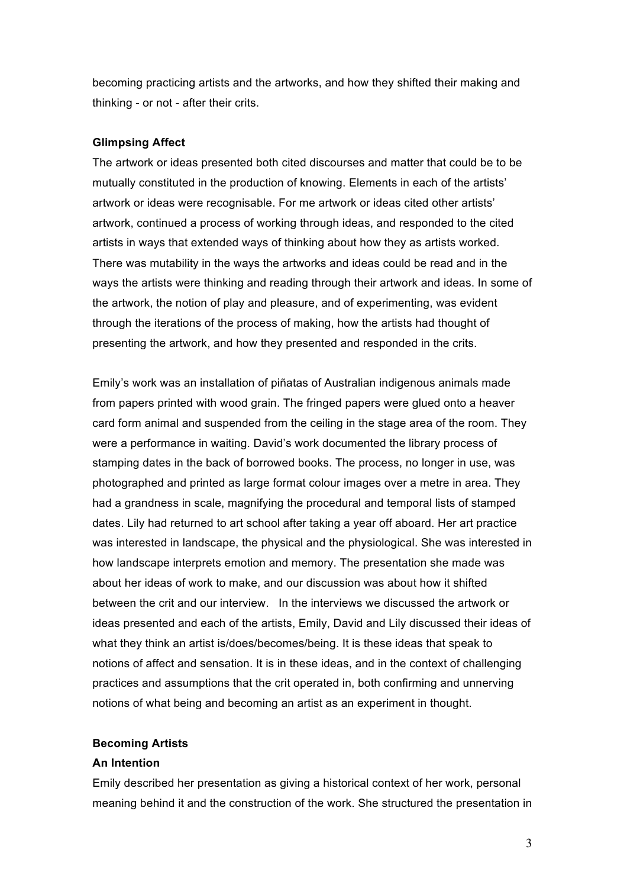becoming practicing artists and the artworks, and how they shifted their making and thinking - or not - after their crits.

# **Glimpsing Affect**

The artwork or ideas presented both cited discourses and matter that could be to be mutually constituted in the production of knowing. Elements in each of the artists' artwork or ideas were recognisable. For me artwork or ideas cited other artists' artwork, continued a process of working through ideas, and responded to the cited artists in ways that extended ways of thinking about how they as artists worked. There was mutability in the ways the artworks and ideas could be read and in the ways the artists were thinking and reading through their artwork and ideas. In some of the artwork, the notion of play and pleasure, and of experimenting, was evident through the iterations of the process of making, how the artists had thought of presenting the artwork, and how they presented and responded in the crits.

Emily's work was an installation of piñatas of Australian indigenous animals made from papers printed with wood grain. The fringed papers were glued onto a heaver card form animal and suspended from the ceiling in the stage area of the room. They were a performance in waiting. David's work documented the library process of stamping dates in the back of borrowed books. The process, no longer in use, was photographed and printed as large format colour images over a metre in area. They had a grandness in scale, magnifying the procedural and temporal lists of stamped dates. Lily had returned to art school after taking a year off aboard. Her art practice was interested in landscape, the physical and the physiological. She was interested in how landscape interprets emotion and memory. The presentation she made was about her ideas of work to make, and our discussion was about how it shifted between the crit and our interview. In the interviews we discussed the artwork or ideas presented and each of the artists, Emily, David and Lily discussed their ideas of what they think an artist is/does/becomes/being. It is these ideas that speak to notions of affect and sensation. It is in these ideas, and in the context of challenging practices and assumptions that the crit operated in, both confirming and unnerving notions of what being and becoming an artist as an experiment in thought.

# **Becoming Artists**

#### **An Intention**

Emily described her presentation as giving a historical context of her work, personal meaning behind it and the construction of the work. She structured the presentation in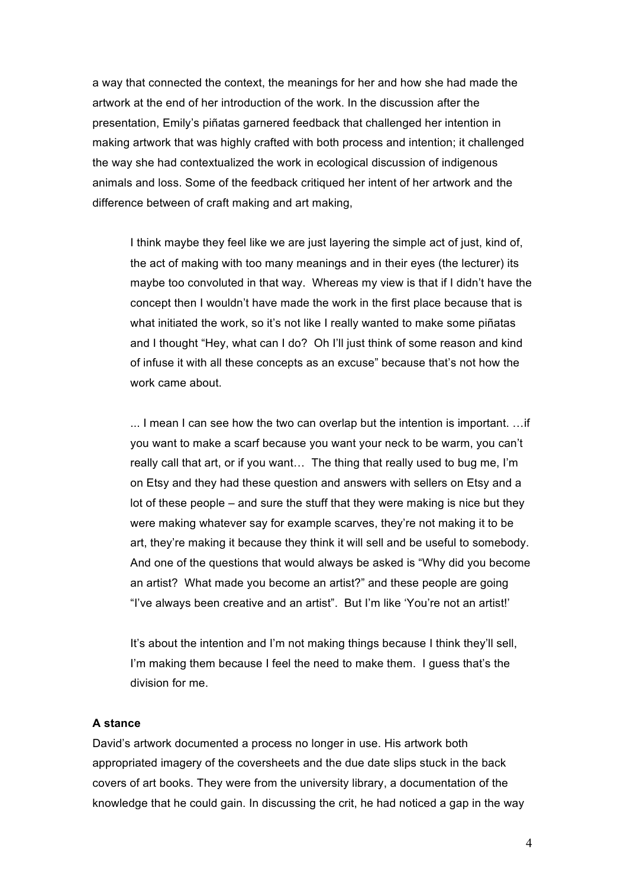a way that connected the context, the meanings for her and how she had made the artwork at the end of her introduction of the work. In the discussion after the presentation, Emily's piñatas garnered feedback that challenged her intention in making artwork that was highly crafted with both process and intention; it challenged the way she had contextualized the work in ecological discussion of indigenous animals and loss. Some of the feedback critiqued her intent of her artwork and the difference between of craft making and art making,

I think maybe they feel like we are just layering the simple act of just, kind of, the act of making with too many meanings and in their eyes (the lecturer) its maybe too convoluted in that way. Whereas my view is that if I didn't have the concept then I wouldn't have made the work in the first place because that is what initiated the work, so it's not like I really wanted to make some piñatas and I thought "Hey, what can I do? Oh I'll just think of some reason and kind of infuse it with all these concepts as an excuse" because that's not how the work came about.

... I mean I can see how the two can overlap but the intention is important. …if you want to make a scarf because you want your neck to be warm, you can't really call that art, or if you want… The thing that really used to bug me, I'm on Etsy and they had these question and answers with sellers on Etsy and a lot of these people – and sure the stuff that they were making is nice but they were making whatever say for example scarves, they're not making it to be art, they're making it because they think it will sell and be useful to somebody. And one of the questions that would always be asked is "Why did you become an artist? What made you become an artist?" and these people are going "I've always been creative and an artist". But I'm like 'You're not an artist!'

It's about the intention and I'm not making things because I think they'll sell, I'm making them because I feel the need to make them. I guess that's the division for me.

# **A stance**

David's artwork documented a process no longer in use. His artwork both appropriated imagery of the coversheets and the due date slips stuck in the back covers of art books. They were from the university library, a documentation of the knowledge that he could gain. In discussing the crit, he had noticed a gap in the way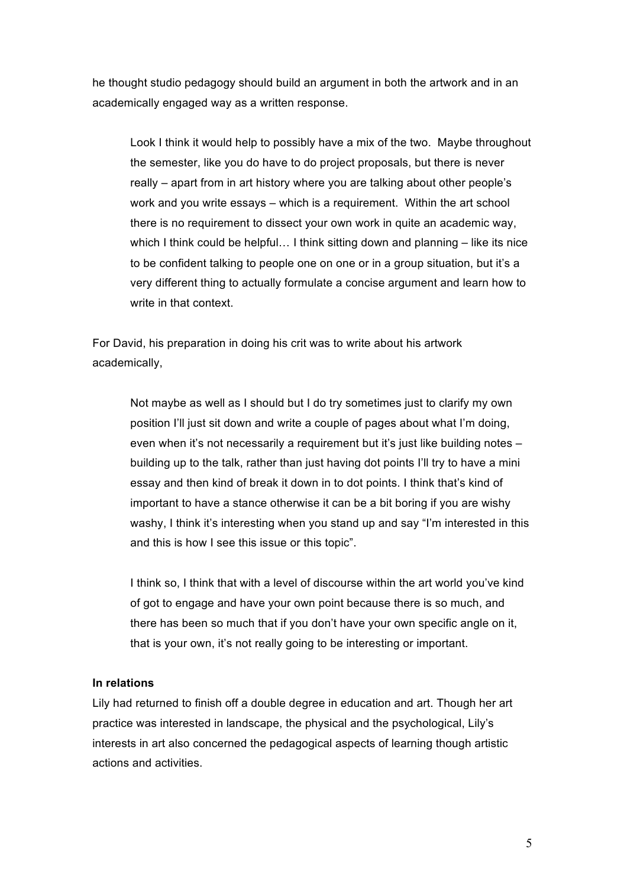he thought studio pedagogy should build an argument in both the artwork and in an academically engaged way as a written response.

Look I think it would help to possibly have a mix of the two. Maybe throughout the semester, like you do have to do project proposals, but there is never really – apart from in art history where you are talking about other people's work and you write essays – which is a requirement. Within the art school there is no requirement to dissect your own work in quite an academic way, which I think could be helpful... I think sitting down and planning – like its nice to be confident talking to people one on one or in a group situation, but it's a very different thing to actually formulate a concise argument and learn how to write in that context.

For David, his preparation in doing his crit was to write about his artwork academically,

> Not maybe as well as I should but I do try sometimes just to clarify my own position I'll just sit down and write a couple of pages about what I'm doing, even when it's not necessarily a requirement but it's just like building notes – building up to the talk, rather than just having dot points I'll try to have a mini essay and then kind of break it down in to dot points. I think that's kind of important to have a stance otherwise it can be a bit boring if you are wishy washy, I think it's interesting when you stand up and say "I'm interested in this and this is how I see this issue or this topic".

I think so, I think that with a level of discourse within the art world you've kind of got to engage and have your own point because there is so much, and there has been so much that if you don't have your own specific angle on it, that is your own, it's not really going to be interesting or important.

### **In relations**

Lily had returned to finish off a double degree in education and art. Though her art practice was interested in landscape, the physical and the psychological, Lily's interests in art also concerned the pedagogical aspects of learning though artistic actions and activities.

5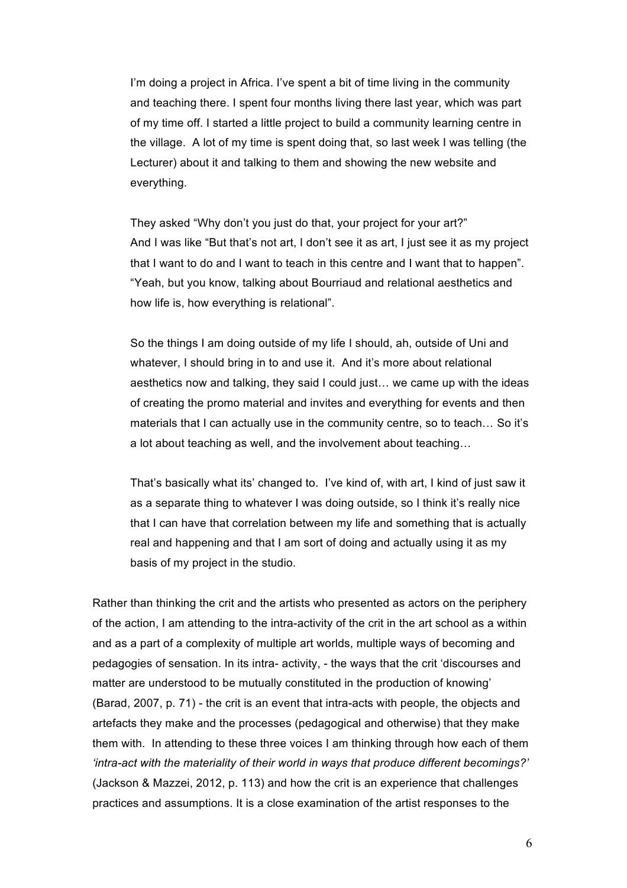I'm doing a project in Africa. I've spent a bit of time living in the community and teaching there. I spent four months living there last year, which was part of my time off. I started a little project to build a community learning centre in the village. A lot of my time is spent doing that, so last week I was telling (the Lecturer) about it and talking to them and showing the new website and everything.

They asked "Why don't you just do that, your project for your art?" And I was like "But that's not art, I don't see it as art, I just see it as my project that I want to do and I want to teach in this centre and I want that to happen". "Yeah, but you know, talking about Bourriaud and relational aesthetics and how life is, how everything is relational".

So the things I am doing outside of my life I should, ah, outside of Uni and whatever, I should bring in to and use it. And it's more about relational aesthetics now and talking, they said I could just… we came up with the ideas of creating the promo material and invites and everything for events and then materials that I can actually use in the community centre, so to teach… So it's a lot about teaching as well, and the involvement about teaching…

That's basically what its' changed to. I've kind of, with art, I kind of just saw it as a separate thing to whatever I was doing outside, so I think it's really nice that I can have that correlation between my life and something that is actually real and happening and that I am sort of doing and actually using it as my basis of my project in the studio.

Rather than thinking the crit and the artists who presented as actors on the periphery of the action, I am attending to the intra-activity of the crit in the art school as a within and as a part of a complexity of multiple art worlds, multiple ways of becoming and pedagogies of sensation. In its intra- activity, - the ways that the crit 'discourses and matter are understood to be mutually constituted in the production of knowing' (Barad, 2007, p. 71) - the crit is an event that intra-acts with people, the objects and artefacts they make and the processes (pedagogical and otherwise) that they make them with. In attending to these three voices I am thinking through how each of them *'intra-act with the materiality of their world in ways that produce different becomings?'* (Jackson & Mazzei, 2012, p. 113) and how the crit is an experience that challenges practices and assumptions. It is a close examination of the artist responses to the

6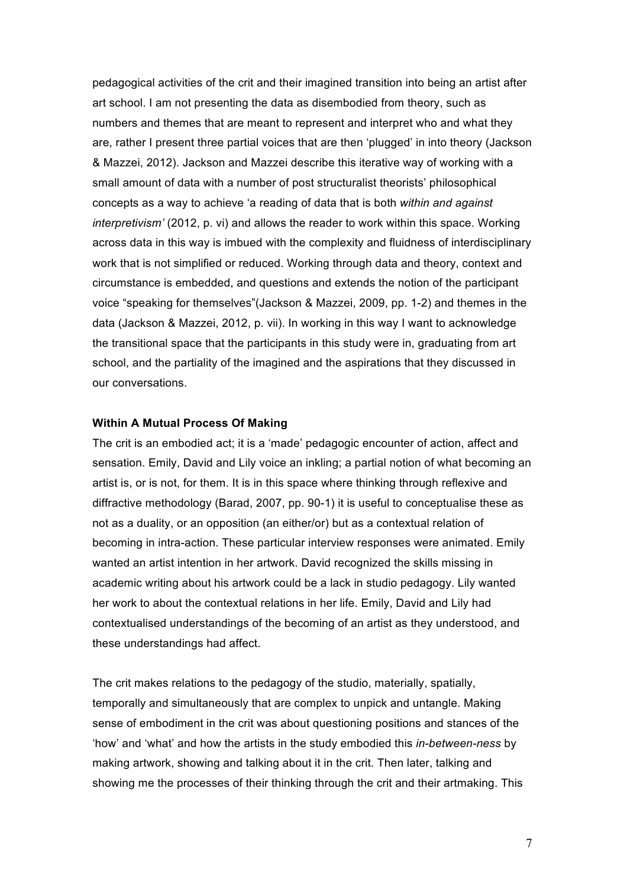pedagogical activities of the crit and their imagined transition into being an artist after art school. I am not presenting the data as disembodied from theory, such as numbers and themes that are meant to represent and interpret who and what they are, rather I present three partial voices that are then 'plugged' in into theory (Jackson & Mazzei, 2012). Jackson and Mazzei describe this iterative way of working with a small amount of data with a number of post structuralist theorists' philosophical concepts as a way to achieve 'a reading of data that is both *within and against interpretivism'* (2012, p. vi) and allows the reader to work within this space. Working across data in this way is imbued with the complexity and fluidness of interdisciplinary work that is not simplified or reduced. Working through data and theory, context and circumstance is embedded, and questions and extends the notion of the participant voice "speaking for themselves"(Jackson & Mazzei, 2009, pp. 1-2) and themes in the data (Jackson & Mazzei, 2012, p. vii). In working in this way I want to acknowledge the transitional space that the participants in this study were in, graduating from art school, and the partiality of the imagined and the aspirations that they discussed in our conversations.

# **Within A Mutual Process Of Making**

The crit is an embodied act; it is a 'made' pedagogic encounter of action, affect and sensation. Emily, David and Lily voice an inkling; a partial notion of what becoming an artist is, or is not, for them. It is in this space where thinking through reflexive and diffractive methodology (Barad, 2007, pp. 90-1) it is useful to conceptualise these as not as a duality, or an opposition (an either/or) but as a contextual relation of becoming in intra-action. These particular interview responses were animated. Emily wanted an artist intention in her artwork. David recognized the skills missing in academic writing about his artwork could be a lack in studio pedagogy. Lily wanted her work to about the contextual relations in her life. Emily, David and Lily had contextualised understandings of the becoming of an artist as they understood, and these understandings had affect.

The crit makes relations to the pedagogy of the studio, materially, spatially, temporally and simultaneously that are complex to unpick and untangle. Making sense of embodiment in the crit was about questioning positions and stances of the 'how' and 'what' and how the artists in the study embodied this *in-between-ness* by making artwork, showing and talking about it in the crit. Then later, talking and showing me the processes of their thinking through the crit and their artmaking. This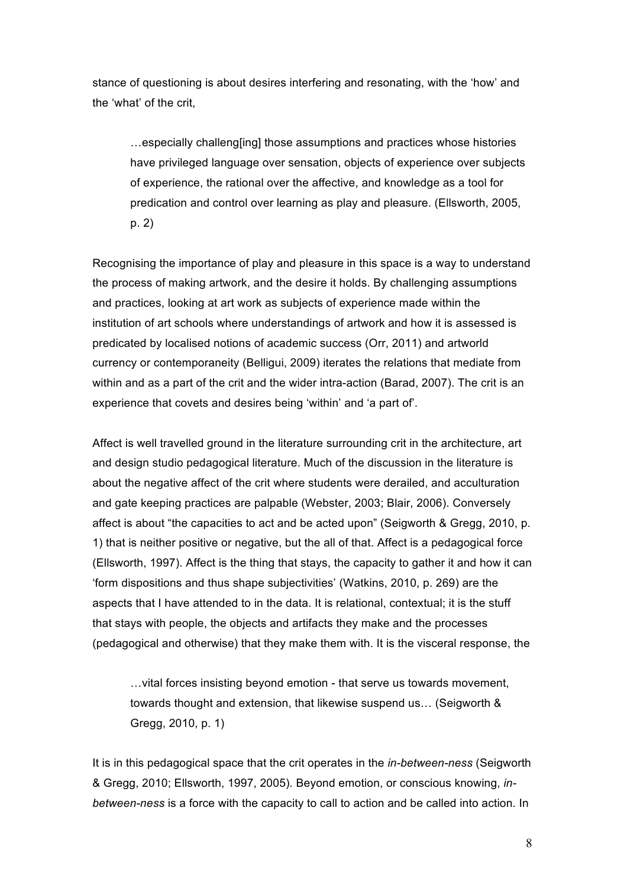stance of questioning is about desires interfering and resonating, with the 'how' and the 'what' of the crit,

…especially challeng[ing] those assumptions and practices whose histories have privileged language over sensation, objects of experience over subjects of experience, the rational over the affective, and knowledge as a tool for predication and control over learning as play and pleasure. (Ellsworth, 2005, p. 2)

Recognising the importance of play and pleasure in this space is a way to understand the process of making artwork, and the desire it holds. By challenging assumptions and practices, looking at art work as subjects of experience made within the institution of art schools where understandings of artwork and how it is assessed is predicated by localised notions of academic success (Orr, 2011) and artworld currency or contemporaneity (Belligui, 2009) iterates the relations that mediate from within and as a part of the crit and the wider intra-action (Barad, 2007). The crit is an experience that covets and desires being 'within' and 'a part of'.

Affect is well travelled ground in the literature surrounding crit in the architecture, art and design studio pedagogical literature. Much of the discussion in the literature is about the negative affect of the crit where students were derailed, and acculturation and gate keeping practices are palpable (Webster, 2003; Blair, 2006). Conversely affect is about "the capacities to act and be acted upon" (Seigworth & Gregg, 2010, p. 1) that is neither positive or negative, but the all of that. Affect is a pedagogical force (Ellsworth, 1997). Affect is the thing that stays, the capacity to gather it and how it can 'form dispositions and thus shape subjectivities' (Watkins, 2010, p. 269) are the aspects that I have attended to in the data. It is relational, contextual; it is the stuff that stays with people, the objects and artifacts they make and the processes (pedagogical and otherwise) that they make them with. It is the visceral response, the

…vital forces insisting beyond emotion - that serve us towards movement, towards thought and extension, that likewise suspend us… (Seigworth & Gregg, 2010, p. 1)

It is in this pedagogical space that the crit operates in the *in-between-ness* (Seigworth & Gregg, 2010; Ellsworth, 1997, 2005)*.* Beyond emotion, or conscious knowing, *inbetween-ness* is a force with the capacity to call to action and be called into action. In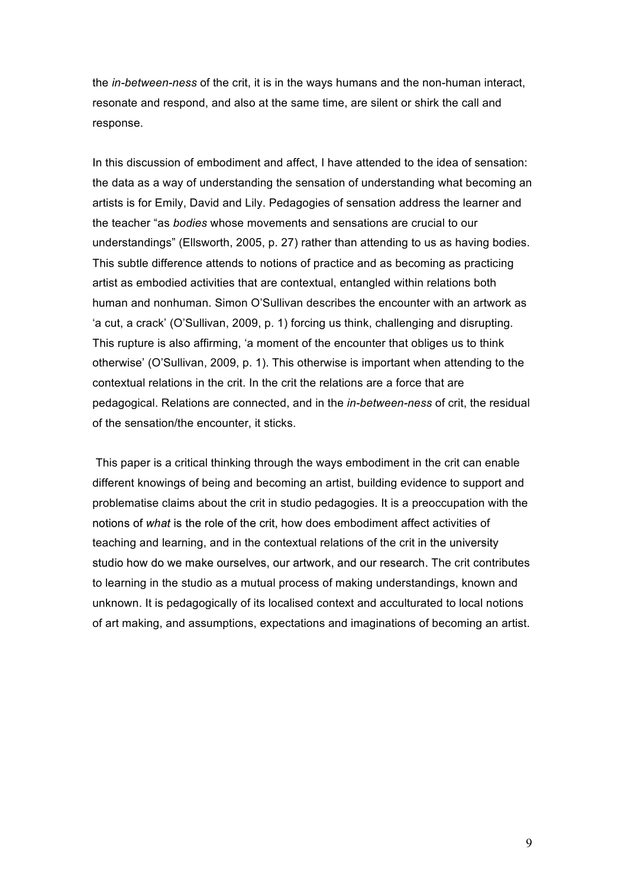the *in-between-ness* of the crit, it is in the ways humans and the non-human interact, resonate and respond, and also at the same time, are silent or shirk the call and response.

In this discussion of embodiment and affect, I have attended to the idea of sensation: the data as a way of understanding the sensation of understanding what becoming an artists is for Emily, David and Lily. Pedagogies of sensation address the learner and the teacher "as *bodies* whose movements and sensations are crucial to our understandings" (Ellsworth, 2005, p. 27) rather than attending to us as having bodies. This subtle difference attends to notions of practice and as becoming as practicing artist as embodied activities that are contextual, entangled within relations both human and nonhuman. Simon O'Sullivan describes the encounter with an artwork as 'a cut, a crack' (O'Sullivan, 2009, p. 1) forcing us think, challenging and disrupting. This rupture is also affirming, 'a moment of the encounter that obliges us to think otherwise' (O'Sullivan, 2009, p. 1). This otherwise is important when attending to the contextual relations in the crit. In the crit the relations are a force that are pedagogical. Relations are connected, and in the *in-between-ness* of crit, the residual of the sensation/the encounter, it sticks.

This paper is a critical thinking through the ways embodiment in the crit can enable different knowings of being and becoming an artist, building evidence to support and problematise claims about the crit in studio pedagogies. It is a preoccupation with the notions of *what* is the role of the crit, how does embodiment affect activities of teaching and learning, and in the contextual relations of the crit in the university studio how do we make ourselves, our artwork, and our research. The crit contributes to learning in the studio as a mutual process of making understandings, known and unknown. It is pedagogically of its localised context and acculturated to local notions of art making, and assumptions, expectations and imaginations of becoming an artist.

9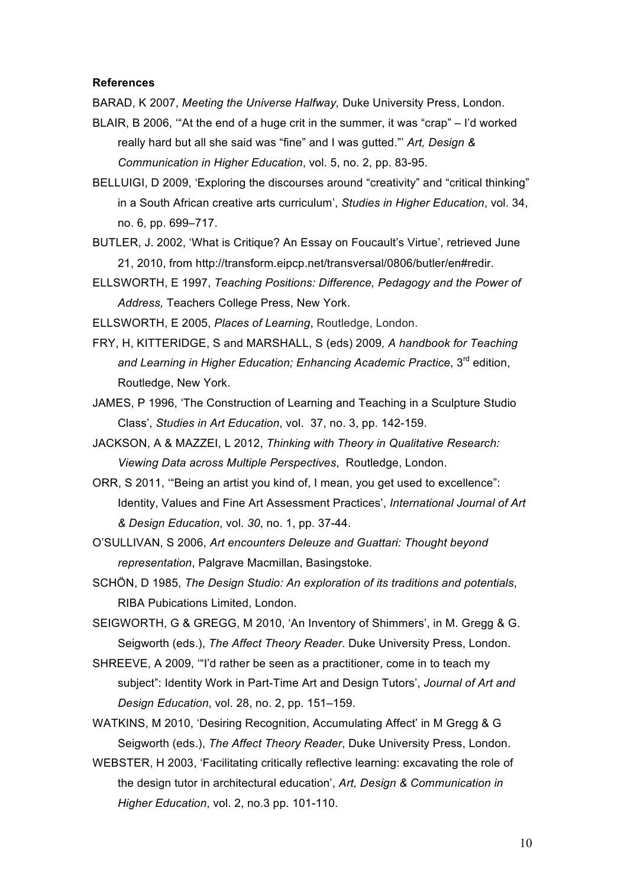#### **References**

BARAD, K 2007, *Meeting the Universe Halfway,* Duke University Press, London.

- BLAIR, B 2006, '"At the end of a huge crit in the summer, it was "crap" I'd worked really hard but all she said was "fine" and I was gutted."' *Art, Design & Communication in Higher Education*, vol. 5, no. 2, pp. 83-95.
- BELLUIGI, D 2009, 'Exploring the discourses around "creativity" and "critical thinking" in a South African creative arts curriculum', *Studies in Higher Education*, vol. 34, no. 6, pp. 699–717.
- BUTLER, J. 2002, 'What is Critique? An Essay on Foucault's Virtue', retrieved June 21, 2010, from http://transform.eipcp.net/transversal/0806/butler/en#redir.
- ELLSWORTH, E 1997, *Teaching Positions: Difference, Pedagogy and the Power of Address,* Teachers College Press, New York.

ELLSWORTH, E 2005, *Places of Learning*, Routledge, London.

- FRY, H, KITTERIDGE, S and MARSHALL, S (eds) 2009*, A handbook for Teaching*  and Learning in Higher Education; Enhancing Academic Practice, 3<sup>rd</sup> edition, Routledge, New York.
- JAMES, P 1996, 'The Construction of Learning and Teaching in a Sculpture Studio Class', *Studies in Art Education*, vol. 37, no. 3, pp. 142-159.
- JACKSON, A & MAZZEI, L 2012, *Thinking with Theory in Qualitative Research: Viewing Data across Multiple Perspectives*, Routledge, London.
- ORR, S 2011, '"Being an artist you kind of, I mean, you get used to excellence": Identity, Values and Fine Art Assessment Practices', *International Journal of Art & Design Education*, vol. *30*, no. 1, pp. 37-44.
- O'SULLIVAN, S 2006, *Art encounters Deleuze and Guattari: Thought beyond representation*, Palgrave Macmillan, Basingstoke.
- SCHÖN, D 1985, *The Design Studio: An exploration of its traditions and potentials*, RIBA Pubications Limited, London.

SEIGWORTH, G & GREGG, M 2010, 'An Inventory of Shimmers', in M. Gregg & G. Seigworth (eds.), *The Affect Theory Reader*. Duke University Press, London.

- SHREEVE, A 2009, '"I'd rather be seen as a practitioner, come in to teach my subject": Identity Work in Part-Time Art and Design Tutors', *Journal of Art and Design Education*, vol. 28, no. 2, pp. 151–159.
- WATKINS, M 2010, 'Desiring Recognition, Accumulating Affect' in M Gregg & G Seigworth (eds.), *The Affect Theory Reader*, Duke University Press, London.
- WEBSTER, H 2003, 'Facilitating critically reflective learning: excavating the role of the design tutor in architectural education', *Art, Design & Communication in Higher Education*, vol. 2, no.3 pp. 101-110.